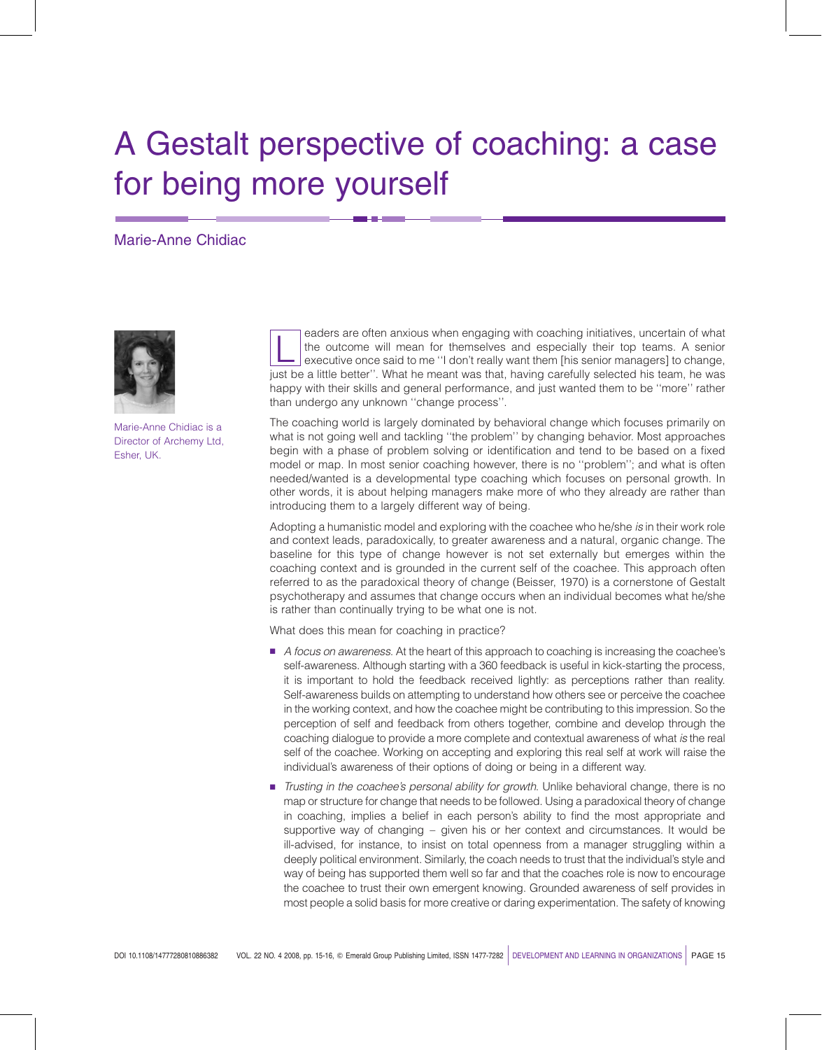# A Gestalt perspective of coaching: a case for being more yourself

## Marie-Anne Chidiac



Marie-Anne Chidiac is a Director of Archemy Ltd, Esher, UK.

eaders are often anxious when engaging with coaching initiatives, uncertain of what<br>the outcome will mean for themselves and especially their top teams. A senior<br>executive once said to me "I don't really want them [his sen the outcome will mean for themselves and especially their top teams. A senior just be a little better''. What he meant was that, having carefully selected his team, he was happy with their skills and general performance, and just wanted them to be ''more'' rather than undergo any unknown ''change process''.

The coaching world is largely dominated by behavioral change which focuses primarily on what is not going well and tackling ''the problem'' by changing behavior. Most approaches begin with a phase of problem solving or identification and tend to be based on a fixed model or map. In most senior coaching however, there is no ''problem''; and what is often needed/wanted is a developmental type coaching which focuses on personal growth. In other words, it is about helping managers make more of who they already are rather than introducing them to a largely different way of being.

Adopting a humanistic model and exploring with the coachee who he/she is in their work role and context leads, paradoxically, to greater awareness and a natural, organic change. The baseline for this type of change however is not set externally but emerges within the coaching context and is grounded in the current self of the coachee. This approach often referred to as the paradoxical theory of change (Beisser, 1970) is a cornerstone of Gestalt psychotherapy and assumes that change occurs when an individual becomes what he/she is rather than continually trying to be what one is not.

What does this mean for coaching in practice?

- A focus on awareness. At the heart of this approach to coaching is increasing the coachee's self-awareness. Although starting with a 360 feedback is useful in kick-starting the process, it is important to hold the feedback received lightly: as perceptions rather than reality. Self-awareness builds on attempting to understand how others see or perceive the coachee in the working context, and how the coachee might be contributing to this impression. So the perception of self and feedback from others together, combine and develop through the coaching dialogue to provide a more complete and contextual awareness of what is the real self of the coachee. Working on accepting and exploring this real self at work will raise the individual's awareness of their options of doing or being in a different way.
- Trusting in the coachee's personal ability for growth. Unlike behavioral change, there is no map or structure for change that needs to be followed. Using a paradoxical theory of change in coaching, implies a belief in each person's ability to find the most appropriate and supportive way of changing – given his or her context and circumstances. It would be ill-advised, for instance, to insist on total openness from a manager struggling within a deeply political environment. Similarly, the coach needs to trust that the individual's style and way of being has supported them well so far and that the coaches role is now to encourage the coachee to trust their own emergent knowing. Grounded awareness of self provides in most people a solid basis for more creative or daring experimentation. The safety of knowing